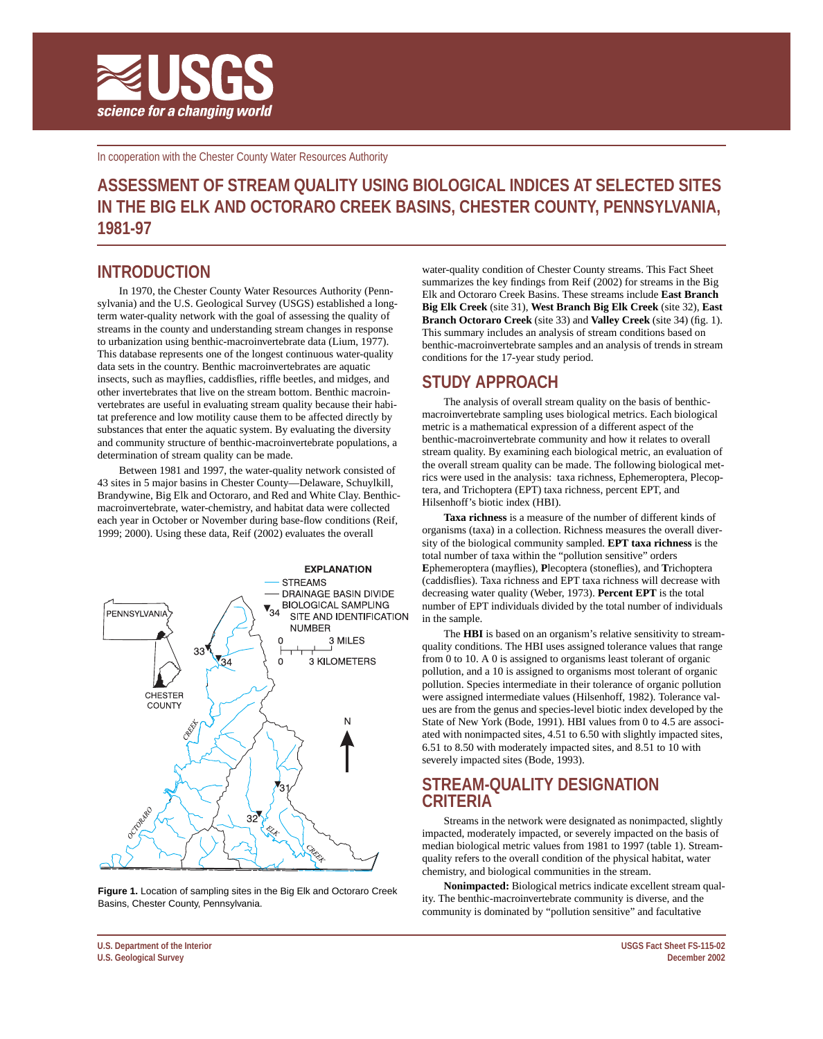

In cooperation with the Chester County Water Resources Authority

# **ASSESSMENT OF STREAM QUALITY USING BIOLOGICAL INDICES AT SELECTED SITES IN THE BIG ELK AND OCTORARO CREEK BASINS, CHESTER COUNTY, PENNSYLVANIA, 1981-97**

## **INTRODUCTION**

In 1970, the Chester County Water Resources Authority (Pennsylvania) and the U.S. Geological Survey (USGS) established a longterm water-quality network with the goal of assessing the quality of streams in the county and understanding stream changes in response to urbanization using benthic-macroinvertebrate data (Lium, 1977). This database represents one of the longest continuous water-quality data sets in the country. Benthic macroinvertebrates are aquatic insects, such as mayflies, caddisflies, riffle beetles, and midges, and other invertebrates that live on the stream bottom. Benthic macroinvertebrates are useful in evaluating stream quality because their habitat preference and low motility cause them to be affected directly by substances that enter the aquatic system. By evaluating the diversity and community structure of benthic-macroinvertebrate populations, a determination of stream quality can be made.

Between 1981 and 1997, the water-quality network consisted of 43 sites in 5 major basins in Chester County—Delaware, Schuylkill, Brandywine, Big Elk and Octoraro, and Red and White Clay. Benthicmacroinvertebrate, water-chemistry, and habitat data were collected each year in October or November during base-flow conditions (Reif, 1999; 2000). Using these data, Reif (2002) evaluates the overall



**Figure 1.** Location of sampling sites in the Big Elk and Octoraro Creek Basins, Chester County, Pennsylvania.

water-quality condition of Chester County streams. This Fact Sheet summarizes the key findings from Reif (2002) for streams in the Big Elk and Octoraro Creek Basins. These streams include **East Branch Big Elk Creek** (site 31), **West Branch Big Elk Creek** (site 32), **East Branch Octoraro Creek** (site 33) and **Valley Creek** (site 34) (fig. 1). This summary includes an analysis of stream conditions based on benthic-macroinvertebrate samples and an analysis of trends in stream conditions for the 17-year study period.

## **STUDY APPROACH**

The analysis of overall stream quality on the basis of benthicmacroinvertebrate sampling uses biological metrics. Each biological metric is a mathematical expression of a different aspect of the benthic-macroinvertebrate community and how it relates to overall stream quality. By examining each biological metric, an evaluation of the overall stream quality can be made. The following biological metrics were used in the analysis: taxa richness, Ephemeroptera, Plecoptera, and Trichoptera (EPT) taxa richness, percent EPT, and Hilsenhoff's biotic index (HBI).

**Taxa richness** is a measure of the number of different kinds of organisms (taxa) in a collection. Richness measures the overall diversity of the biological community sampled. **EPT taxa richness** is the total number of taxa within the "pollution sensitive" orders **E**phemeroptera (mayflies), **P**lecoptera (stoneflies), and **T**richoptera (caddisflies). Taxa richness and EPT taxa richness will decrease with decreasing water quality (Weber, 1973). **Percent EPT** is the total number of EPT individuals divided by the total number of individuals in the sample.

The **HBI** is based on an organism's relative sensitivity to streamquality conditions. The HBI uses assigned tolerance values that range from 0 to 10. A 0 is assigned to organisms least tolerant of organic pollution, and a 10 is assigned to organisms most tolerant of organic pollution. Species intermediate in their tolerance of organic pollution were assigned intermediate values (Hilsenhoff, 1982). Tolerance values are from the genus and species-level biotic index developed by the State of New York (Bode, 1991). HBI values from 0 to 4.5 are associated with nonimpacted sites, 4.51 to 6.50 with slightly impacted sites, 6.51 to 8.50 with moderately impacted sites, and 8.51 to 10 with severely impacted sites (Bode, 1993).

## **STREAM-QUALITY DESIGNATION CRITERIA**

Streams in the network were designated as nonimpacted, slightly impacted, moderately impacted, or severely impacted on the basis of median biological metric values from 1981 to 1997 (table 1). Streamquality refers to the overall condition of the physical habitat, water chemistry, and biological communities in the stream.

**Nonimpacted:** Biological metrics indicate excellent stream quality. The benthic-macroinvertebrate community is diverse, and the community is dominated by "pollution sensitive" and facultative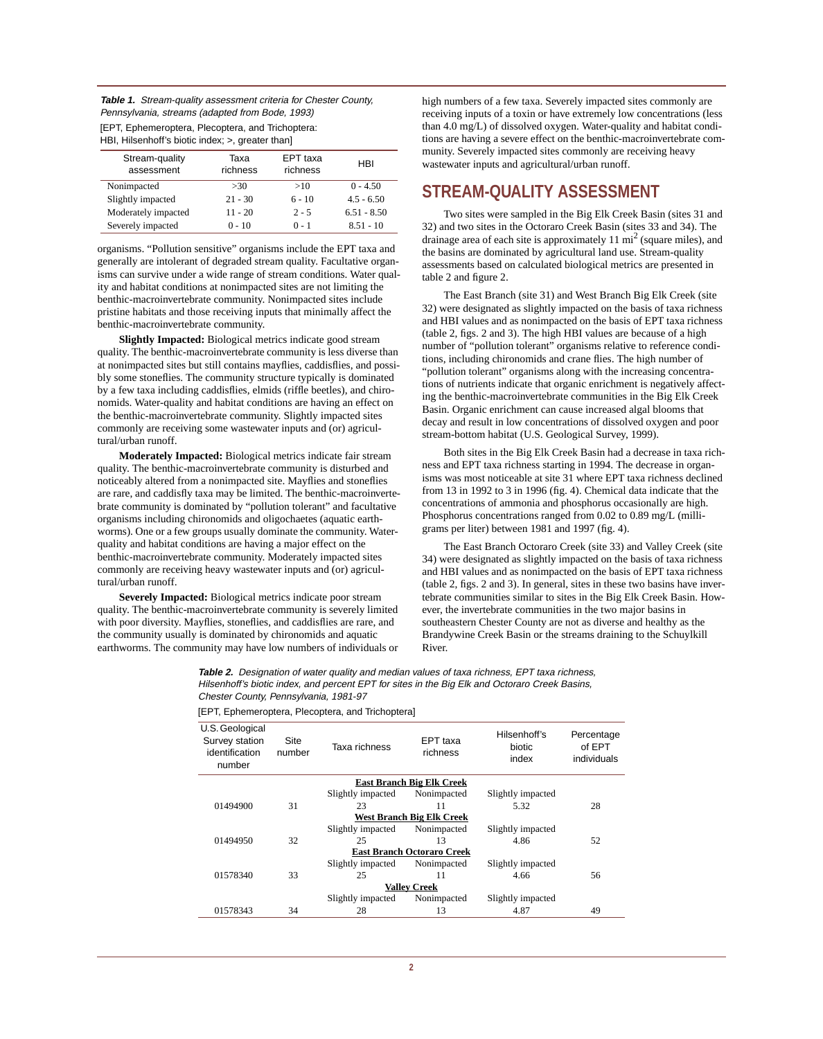**Table 1.** Stream-quality assessment criteria for Chester County, Pennsylvania, streams (adapted from Bode, 1993)

| [EPT, Ephemeroptera, Plecoptera, and Trichoptera: |  |
|---------------------------------------------------|--|
| HBI, Hilsenhoff's biotic index; >, greater than   |  |

| Stream-quality<br>assessment | Taxa<br>richness | EPT taxa<br>richness | HBI           |
|------------------------------|------------------|----------------------|---------------|
| Nonimpacted                  | >30              | >10                  | $0 - 4.50$    |
| Slightly impacted            | $21 - 30$        | $6 - 10$             | $4.5 - 6.50$  |
| Moderately impacted          | $11 - 20$        | $2 - 5$              | $6.51 - 8.50$ |
| Severely impacted            | $0 - 10$         | $0 - 1$              | $8.51 - 10$   |
|                              |                  |                      |               |

organisms. "Pollution sensitive" organisms include the EPT taxa and generally are intolerant of degraded stream quality. Facultative organisms can survive under a wide range of stream conditions. Water quality and habitat conditions at nonimpacted sites are not limiting the benthic-macroinvertebrate community. Nonimpacted sites include pristine habitats and those receiving inputs that minimally affect the benthic-macroinvertebrate community.

**Slightly Impacted:** Biological metrics indicate good stream quality. The benthic-macroinvertebrate community is less diverse than at nonimpacted sites but still contains mayflies, caddisflies, and possibly some stoneflies. The community structure typically is dominated by a few taxa including caddisflies, elmids (riffle beetles), and chironomids. Water-quality and habitat conditions are having an effect on the benthic-macroinvertebrate community. Slightly impacted sites commonly are receiving some wastewater inputs and (or) agricultural/urban runoff.

**Moderately Impacted:** Biological metrics indicate fair stream quality. The benthic-macroinvertebrate community is disturbed and noticeably altered from a nonimpacted site. Mayflies and stoneflies are rare, and caddisfly taxa may be limited. The benthic-macroinvertebrate community is dominated by "pollution tolerant" and facultative organisms including chironomids and oligochaetes (aquatic earthworms). One or a few groups usually dominate the community. Waterquality and habitat conditions are having a major effect on the benthic-macroinvertebrate community. Moderately impacted sites commonly are receiving heavy wastewater inputs and (or) agricultural/urban runoff.

**Severely Impacted:** Biological metrics indicate poor stream quality. The benthic-macroinvertebrate community is severely limited with poor diversity. Mayflies, stoneflies, and caddisflies are rare, and the community usually is dominated by chironomids and aquatic earthworms. The community may have low numbers of individuals or high numbers of a few taxa. Severely impacted sites commonly are receiving inputs of a toxin or have extremely low concentrations (less than 4.0 mg/L) of dissolved oxygen. Water-quality and habitat conditions are having a severe effect on the benthic-macroinvertebrate community. Severely impacted sites commonly are receiving heavy wastewater inputs and agricultural/urban runoff.

## **STREAM-QUALITY ASSESSMENT**

Two sites were sampled in the Big Elk Creek Basin (sites 31 and 32) and two sites in the Octoraro Creek Basin (sites 33 and 34). The drainage area of each site is approximately  $11 \text{ mi}^2$  (square miles), and the basins are dominated by agricultural land use. Stream-quality assessments based on calculated biological metrics are presented in table 2 and figure 2.

The East Branch (site 31) and West Branch Big Elk Creek (site 32) were designated as slightly impacted on the basis of taxa richness and HBI values and as nonimpacted on the basis of EPT taxa richness (table 2, figs. 2 and 3). The high HBI values are because of a high number of "pollution tolerant" organisms relative to reference conditions, including chironomids and crane flies. The high number of "pollution tolerant" organisms along with the increasing concentrations of nutrients indicate that organic enrichment is negatively affecting the benthic-macroinvertebrate communities in the Big Elk Creek Basin. Organic enrichment can cause increased algal blooms that decay and result in low concentrations of dissolved oxygen and poor stream-bottom habitat (U.S. Geological Survey, 1999).

Both sites in the Big Elk Creek Basin had a decrease in taxa richness and EPT taxa richness starting in 1994. The decrease in organisms was most noticeable at site 31 where EPT taxa richness declined from 13 in 1992 to 3 in 1996 (fig. 4). Chemical data indicate that the concentrations of ammonia and phosphorus occasionally are high. Phosphorus concentrations ranged from 0.02 to 0.89 mg/L (milligrams per liter) between 1981 and 1997 (fig. 4).

The East Branch Octoraro Creek (site 33) and Valley Creek (site 34) were designated as slightly impacted on the basis of taxa richness and HBI values and as nonimpacted on the basis of EPT taxa richness (table 2, figs. 2 and 3). In general, sites in these two basins have invertebrate communities similar to sites in the Big Elk Creek Basin. However, the invertebrate communities in the two major basins in southeastern Chester County are not as diverse and healthy as the Brandywine Creek Basin or the streams draining to the Schuylkill River.

**Table 2.** Designation of water quality and median values of taxa richness, EPT taxa richness, Hilsenhoff's biotic index, and percent EPT for sites in the Big Elk and Octoraro Creek Basins, Chester County, Pennsylvania, 1981-97

| U.S. Geological<br>Survey station<br>identification<br>number | Site<br>number | Taxa richness     | EPT taxa<br>richness              | Hilsenhoff's<br>biotic<br>index | Percentage<br>of EPT<br>individuals |
|---------------------------------------------------------------|----------------|-------------------|-----------------------------------|---------------------------------|-------------------------------------|
|                                                               |                |                   | <b>East Branch Big Elk Creek</b>  |                                 |                                     |
|                                                               |                | Slightly impacted | Nonimpacted                       | Slightly impacted               |                                     |
| 01494900                                                      | 31             | 23                | 11                                | 5.32                            | 28                                  |
|                                                               |                |                   | West Branch Big Elk Creek         |                                 |                                     |
|                                                               |                | Slightly impacted | Nonimpacted                       | Slightly impacted               |                                     |
| 01494950                                                      | 32             | 25                | 13                                | 4.86                            | 52                                  |
|                                                               |                |                   | <b>East Branch Octoraro Creek</b> |                                 |                                     |
|                                                               |                | Slightly impacted | Nonimpacted                       | Slightly impacted               |                                     |
| 01578340                                                      | 33             | 25                | 11                                | 4.66                            | 56                                  |
|                                                               |                |                   | <b>Valley Creek</b>               |                                 |                                     |
|                                                               |                | Slightly impacted | Nonimpacted                       | Slightly impacted               |                                     |
| 01578343                                                      | 34             | 28                | 13                                | 4.87                            | 49                                  |

[EPT, Ephemeroptera, Plecoptera, and Trichoptera]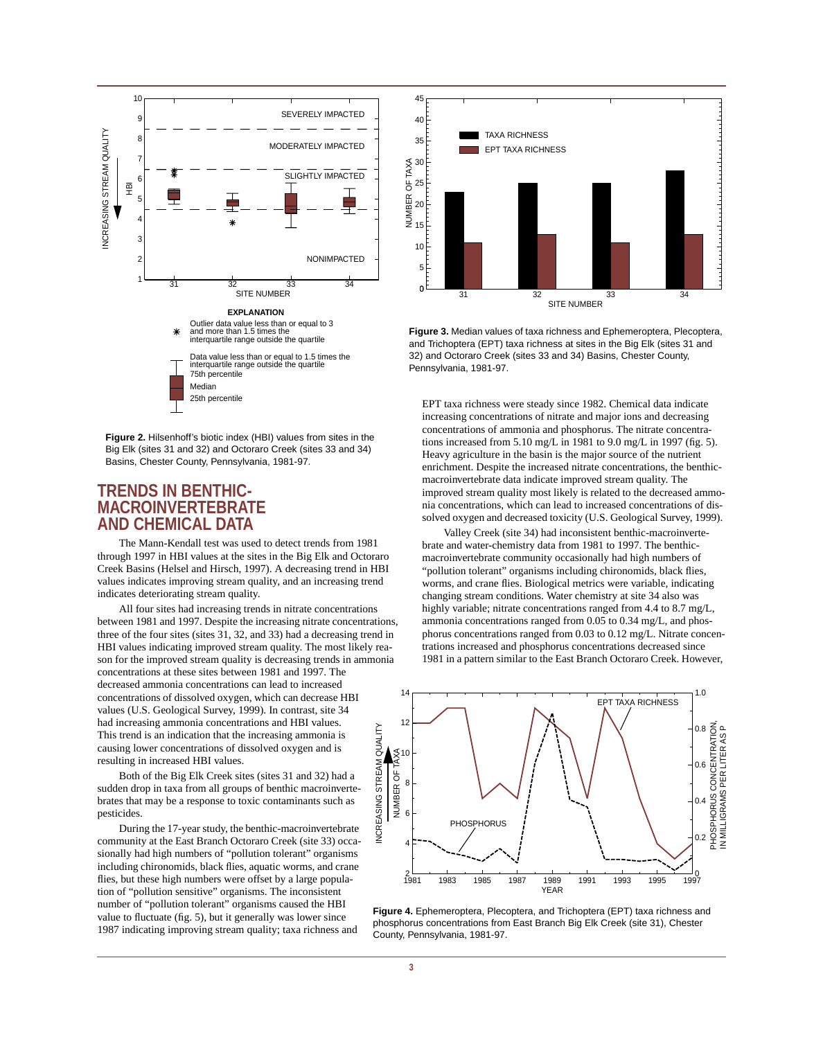

**Figure 2.** Hilsenhoff's biotic index (HBI) values from sites in the Big Elk (sites 31 and 32) and Octoraro Creek (sites 33 and 34) Basins, Chester County, Pennsylvania, 1981-97.

#### **TRENDS IN BENTHIC-MACROINVERTEBRATE AND CHEMICAL DATA**

The Mann-Kendall test was used to detect trends from 1981 through 1997 in HBI values at the sites in the Big Elk and Octoraro Creek Basins (Helsel and Hirsch, 1997). A decreasing trend in HBI values indicates improving stream quality, and an increasing trend indicates deteriorating stream quality.

All four sites had increasing trends in nitrate concentrations between 1981 and 1997. Despite the increasing nitrate concentrations, three of the four sites (sites 31, 32, and 33) had a decreasing trend in HBI values indicating improved stream quality. The most likely reason for the improved stream quality is decreasing trends in ammonia concentrations at these sites between 1981 and 1997. The decreased ammonia concentrations can lead to increased concentrations of dissolved oxygen, which can decrease HBI values (U.S. Geological Survey, 1999). In contrast, site 34 had increasing ammonia concentrations and HBI values. INCREASING STREAM QUALITY INCREASING STREAM QUALITYThis trend is an indication that the increasing ammonia is causing lower concentrations of dissolved oxygen and is resulting in increased HBI values.

Both of the Big Elk Creek sites (sites 31 and 32) had a sudden drop in taxa from all groups of benthic macroinvertebrates that may be a response to toxic contaminants such as pesticides.

During the 17-year study, the benthic-macroinvertebrate community at the East Branch Octoraro Creek (site 33) occasionally had high numbers of "pollution tolerant" organisms including chironomids, black flies, aquatic worms, and crane flies, but these high numbers were offset by a large population of "pollution sensitive" organisms. The inconsistent number of "pollution tolerant" organisms caused the HBI value to fluctuate (fig. 5), but it generally was lower since 1987 indicating improving stream quality; taxa richness and



**Figure 3.** Median values of taxa richness and Ephemeroptera, Plecoptera, and Trichoptera (EPT) taxa richness at sites in the Big Elk (sites 31 and 32) and Octoraro Creek (sites 33 and 34) Basins, Chester County, Pennsylvania, 1981-97.

EPT taxa richness were steady since 1982. Chemical data indicate increasing concentrations of nitrate and major ions and decreasing concentrations of ammonia and phosphorus. The nitrate concentrations increased from 5.10 mg/L in 1981 to 9.0 mg/L in 1997 (fig. 5). Heavy agriculture in the basin is the major source of the nutrient enrichment. Despite the increased nitrate concentrations, the benthicmacroinvertebrate data indicate improved stream quality. The improved stream quality most likely is related to the decreased ammonia concentrations, which can lead to increased concentrations of dissolved oxygen and decreased toxicity (U.S. Geological Survey, 1999).

Valley Creek (site 34) had inconsistent benthic-macroinvertebrate and water-chemistry data from 1981 to 1997. The benthicmacroinvertebrate community occasionally had high numbers of "pollution tolerant" organisms including chironomids, black flies, worms, and crane flies. Biological metrics were variable, indicating changing stream conditions. Water chemistry at site 34 also was highly variable; nitrate concentrations ranged from 4.4 to 8.7 mg/L, ammonia concentrations ranged from 0.05 to 0.34 mg/L, and phosphorus concentrations ranged from 0.03 to 0.12 mg/L. Nitrate concentrations increased and phosphorus concentrations decreased since 1981 in a pattern similar to the East Branch Octoraro Creek. However,



**Figure 4.** Ephemeroptera, Plecoptera, and Trichoptera (EPT) taxa richness and phosphorus concentrations from East Branch Big Elk Creek (site 31), Chester County, Pennsylvania, 1981-97.